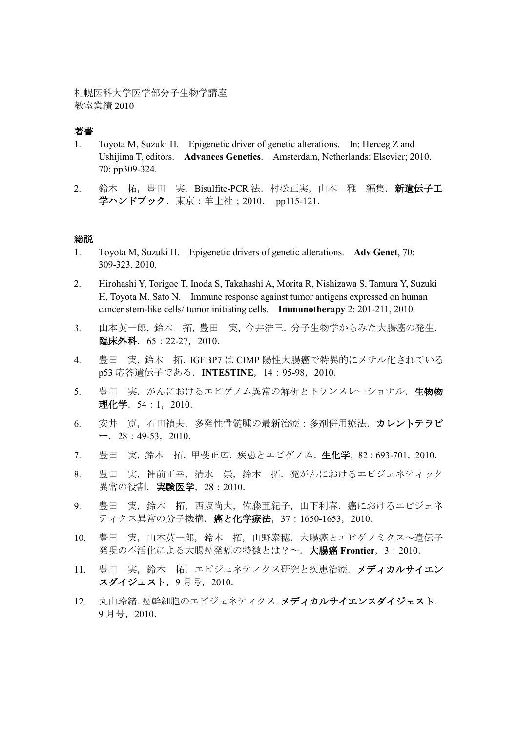札幌医科大学医学部分子生物学講座 教室業績 2010

### 著書

- 1. Toyota M, Suzuki H. Epigenetic driver of genetic alterations. In: Herceg Z and Ushijima T, editors. **Advances Genetics**. Amsterdam, Netherlands: Elsevier; 2010. 70: pp309-324.
- 2. 鈴木 拓, 豊田 実. Bisulfite-PCR 法. 村松正実, 山本 雅 編集. 新遺伝子工 学ハンドブック. 東京:羊土社; 2010. pp115-121.

#### 総説

- 1. Toyota M, Suzuki H. Epigenetic drivers of genetic alterations. **Adv Genet**, 70: 309-323, 2010.
- 2. Hirohashi Y, Torigoe T, Inoda S, Takahashi A, Morita R, Nishizawa S, Tamura Y, Suzuki H, Toyota M, Sato N. Immune response against tumor antigens expressed on human cancer stem-like cells/ tumor initiating cells. **Immunotherapy** 2: 201-211, 2010.
- 3. 山本英一郎,鈴木 拓,豊田 実,今井浩三.分子生物学からみた大腸癌の発生. 臨床外科.65:22-27,2010.
- 4. 豊田 実,鈴木 拓.IGFBP7 は CIMP 陽性大腸癌で特異的にメチル化されている p53 応答遺伝子である.**INTESTINE**,14:95-98,2010.
- 5. 豊田 実. がんにおけるエピゲノム異常の解析とトランスレーショナル. 生物物 理化学. 54:1, 2010.
- 6. 安井 寛,石田禎夫.多発性骨髄腫の最新治療:多剤併用療法.カレントテラピ  $-$ . 28:49-53, 2010.
- 7. 豊田 実,鈴木 拓,甲斐正広.疾患とエピゲノム.生化学,82:693-701,2010.
- 8. 豊田 実,神前正幸,清水 崇,鈴木 拓.発がんにおけるエピジェネティック 異常の役割. 実験医学, 28:2010.
- 9. 豊田 実,鈴木 拓,西坂尚大,佐藤亜紀子,山下利春.癌におけるエピジェネ ティクス異常の分子機構. 癌と化学療法, 37:1650-1653, 2010.
- 10. 豊田 実,山本英一郎,鈴木 拓,山野泰穂. 大腸癌とエピゲノミクス~遺伝子 発現の不活化による大腸癌発癌の特徴とは?~.大腸癌 **Frontier**,3:2010.
- 11. 豊田 実、鈴木 拓. エピジェネティクス研究と疾患治療. メディカルサイエン スダイジェスト, 9月号, 2010.
- 12. 丸山玲緒.癌幹細胞のエピジェネティクス.メディカルサイエンスダイジェスト. 9 月号,2010.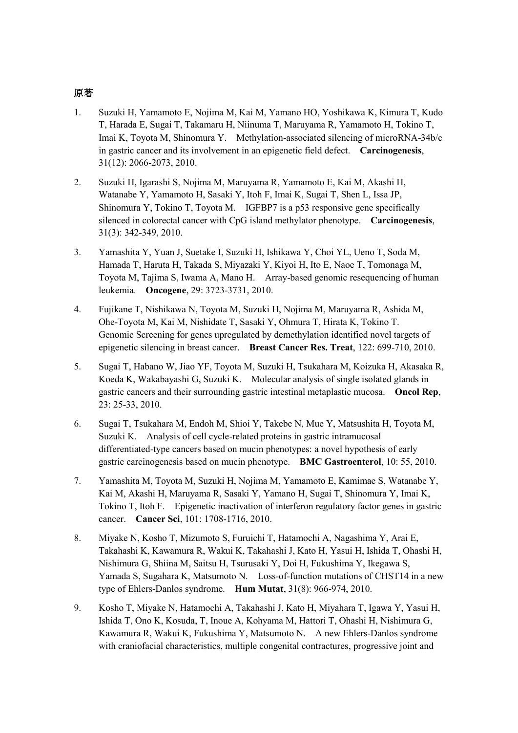## 原著

- 1. Suzuki H, Yamamoto E, Nojima M, Kai M, Yamano HO, Yoshikawa K, Kimura T, Kudo T, Harada E, Sugai T, Takamaru H, Niinuma T, Maruyama R, Yamamoto H, Tokino T, Imai K, Toyota M, Shinomura Y. Methylation-associated silencing of microRNA-34b/c in gastric cancer and its involvement in an epigenetic field defect. **Carcinogenesis**, 31(12): 2066-2073, 2010.
- 2. Suzuki H, Igarashi S, Nojima M, Maruyama R, Yamamoto E, Kai M, Akashi H, Watanabe Y, Yamamoto H, Sasaki Y, Itoh F, Imai K, Sugai T, Shen L, Issa JP, Shinomura Y, Tokino T, Toyota M. IGFBP7 is a p53 responsive gene specifically silenced in colorectal cancer with CpG island methylator phenotype. **Carcinogenesis**, 31(3): 342-349, 2010.
- 3. Yamashita Y, Yuan J, Suetake I, Suzuki H, Ishikawa Y, Choi YL, Ueno T, Soda M, Hamada T, Haruta H, Takada S, Miyazaki Y, Kiyoi H, Ito E, Naoe T, Tomonaga M, Toyota M, Tajima S, Iwama A, Mano H. Array-based genomic resequencing of human leukemia. **Oncogene**, 29: 3723-3731, 2010.
- 4. Fujikane T, Nishikawa N, Toyota M, Suzuki H, Nojima M, Maruyama R, Ashida M, Ohe-Toyota M, Kai M, Nishidate T, Sasaki Y, Ohmura T, Hirata K, Tokino T. Genomic Screening for genes upregulated by demethylation identified novel targets of epigenetic silencing in breast cancer. **Breast Cancer Res. Treat**, 122: 699-710, 2010.
- 5. Sugai T, Habano W, Jiao YF, Toyota M, Suzuki H, Tsukahara M, Koizuka H, Akasaka R, Koeda K, Wakabayashi G, Suzuki K. Molecular analysis of single isolated glands in gastric cancers and their surrounding gastric intestinal metaplastic mucosa. **Oncol Rep**, 23: 25-33, 2010.
- 6. Sugai T, Tsukahara M, Endoh M, Shioi Y, Takebe N, Mue Y, Matsushita H, Toyota M, Suzuki K. Analysis of cell cycle-related proteins in gastric intramucosal differentiated-type cancers based on mucin phenotypes: a novel hypothesis of early gastric carcinogenesis based on mucin phenotype. **BMC Gastroenterol**, 10: 55, 2010.
- 7. Yamashita M, Toyota M, Suzuki H, Nojima M, Yamamoto E, Kamimae S, Watanabe Y, Kai M, Akashi H, Maruyama R, Sasaki Y, Yamano H, Sugai T, Shinomura Y, Imai K, Tokino T, Itoh F. Epigenetic inactivation of interferon regulatory factor genes in gastric cancer. **Cancer Sci**, 101: 1708-1716, 2010.
- 8. Miyake N, Kosho T, Mizumoto S, Furuichi T, Hatamochi A, Nagashima Y, Arai E, Takahashi K, Kawamura R, Wakui K, Takahashi J, Kato H, Yasui H, Ishida T, Ohashi H, Nishimura G, Shiina M, Saitsu H, Tsurusaki Y, Doi H, Fukushima Y, Ikegawa S, Yamada S, Sugahara K, Matsumoto N. Loss-of-function mutations of CHST14 in a new type of Ehlers-Danlos syndrome. **Hum Mutat**, 31(8): 966-974, 2010.
- 9. Kosho T, Miyake N, Hatamochi A, Takahashi J, Kato H, Miyahara T, Igawa Y, Yasui H, Ishida T, Ono K, Kosuda, T, Inoue A, Kohyama M, Hattori T, Ohashi H, Nishimura G, Kawamura R, Wakui K, Fukushima Y, Matsumoto N. A new Ehlers-Danlos syndrome with craniofacial characteristics, multiple congenital contractures, progressive joint and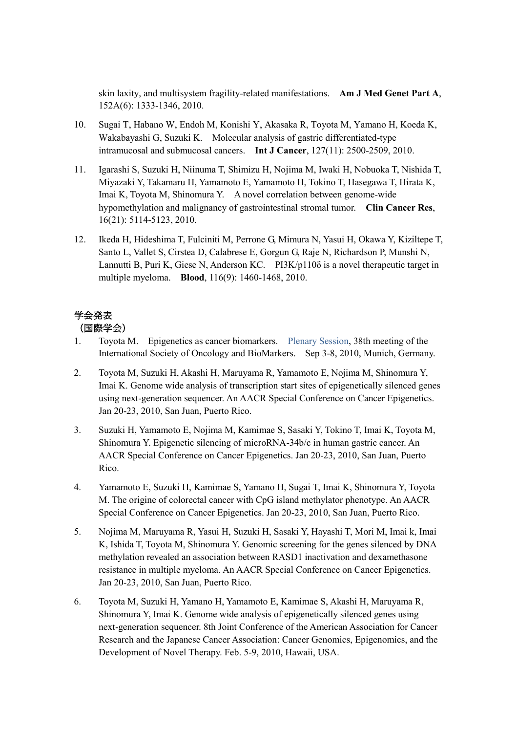skin laxity, and multisystem fragility-related manifestations. **Am J Med Genet Part A**, 152A(6): 1333-1346, 2010.

- 10. Sugai T, Habano W, Endoh M, Konishi Y, Akasaka R, Toyota M, Yamano H, Koeda K, Wakabayashi G, Suzuki K. Molecular analysis of gastric differentiated-type intramucosal and submucosal cancers. **Int J Cancer**, 127(11): 2500-2509, 2010.
- 11. Igarashi S, Suzuki H, Niinuma T, Shimizu H, Nojima M, Iwaki H, Nobuoka T, Nishida T, Miyazaki Y, Takamaru H, Yamamoto E, Yamamoto H, Tokino T, Hasegawa T, Hirata K, Imai K, Toyota M, Shinomura Y. A novel correlation between genome-wide hypomethylation and malignancy of gastrointestinal stromal tumor. **Clin Cancer Res**, 16(21): 5114-5123, 2010.
- 12. Ikeda H, Hideshima T, Fulciniti M, Perrone G, Mimura N, Yasui H, Okawa Y, Kiziltepe T, Santo L, Vallet S, Cirstea D, Calabrese E, Gorgun G, Raje N, Richardson P, Munshi N, Lannutti B, Puri K, Giese N, Anderson KC. PI3K/p110 $\delta$  is a novel therapeutic target in multiple myeloma. **Blood**, 116(9): 1460-1468, 2010.

# 学会発表

## (国際学会)

- 1. Toyota M. Epigenetics as cancer biomarkers. Plenary Session, 38th meeting of the International Society of Oncology and BioMarkers. Sep 3-8, 2010, Munich, Germany.
- 2. Toyota M, Suzuki H, Akashi H, Maruyama R, Yamamoto E, Nojima M, Shinomura Y, Imai K. Genome wide analysis of transcription start sites of epigenetically silenced genes using next-generation sequencer. An AACR Special Conference on Cancer Epigenetics. Jan 20-23, 2010, San Juan, Puerto Rico.
- 3. Suzuki H, Yamamoto E, Nojima M, Kamimae S, Sasaki Y, Tokino T, Imai K, Toyota M, Shinomura Y. Epigenetic silencing of microRNA-34b/c in human gastric cancer. An AACR Special Conference on Cancer Epigenetics. Jan 20-23, 2010, San Juan, Puerto Rico.
- 4. Yamamoto E, Suzuki H, Kamimae S, Yamano H, Sugai T, Imai K, Shinomura Y, Toyota M. The origine of colorectal cancer with CpG island methylator phenotype. An AACR Special Conference on Cancer Epigenetics. Jan 20-23, 2010, San Juan, Puerto Rico.
- 5. Nojima M, Maruyama R, Yasui H, Suzuki H, Sasaki Y, Hayashi T, Mori M, Imai k, Imai K, Ishida T, Toyota M, Shinomura Y. Genomic screening for the genes silenced by DNA methylation revealed an association between RASD1 inactivation and dexamethasone resistance in multiple myeloma. An AACR Special Conference on Cancer Epigenetics. Jan 20-23, 2010, San Juan, Puerto Rico.
- 6. Toyota M, Suzuki H, Yamano H, Yamamoto E, Kamimae S, Akashi H, Maruyama R, Shinomura Y, Imai K. Genome wide analysis of epigenetically silenced genes using next-generation sequencer. 8th Joint Conference of the American Association for Cancer Research and the Japanese Cancer Association: Cancer Genomics, Epigenomics, and the Development of Novel Therapy. Feb. 5-9, 2010, Hawaii, USA.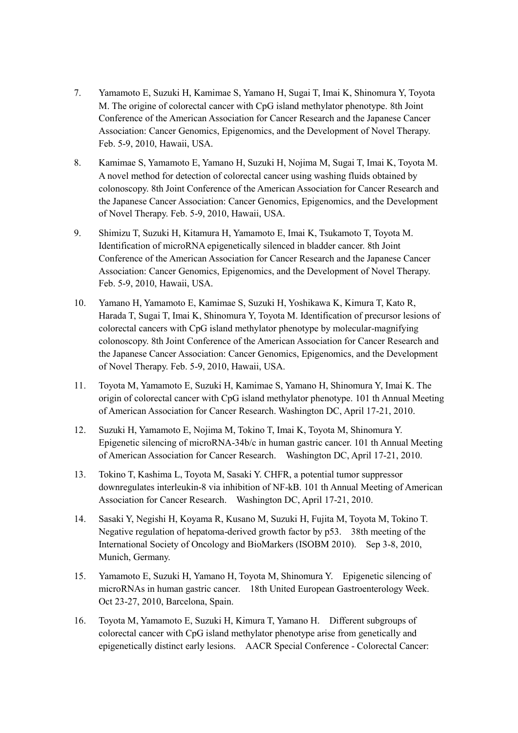- 7. Yamamoto E, Suzuki H, Kamimae S, Yamano H, Sugai T, Imai K, Shinomura Y, Toyota M. The origine of colorectal cancer with CpG island methylator phenotype. 8th Joint Conference of the American Association for Cancer Research and the Japanese Cancer Association: Cancer Genomics, Epigenomics, and the Development of Novel Therapy. Feb. 5-9, 2010, Hawaii, USA.
- 8. Kamimae S, Yamamoto E, Yamano H, Suzuki H, Nojima M, Sugai T, Imai K, Toyota M. A novel method for detection of colorectal cancer using washing fluids obtained by colonoscopy. 8th Joint Conference of the American Association for Cancer Research and the Japanese Cancer Association: Cancer Genomics, Epigenomics, and the Development of Novel Therapy. Feb. 5-9, 2010, Hawaii, USA.
- 9. Shimizu T, Suzuki H, Kitamura H, Yamamoto E, Imai K, Tsukamoto T, Toyota M. Identification of microRNA epigenetically silenced in bladder cancer. 8th Joint Conference of the American Association for Cancer Research and the Japanese Cancer Association: Cancer Genomics, Epigenomics, and the Development of Novel Therapy. Feb. 5-9, 2010, Hawaii, USA.
- 10. Yamano H, Yamamoto E, Kamimae S, Suzuki H, Yoshikawa K, Kimura T, Kato R, Harada T, Sugai T, Imai K, Shinomura Y, Toyota M. Identification of precursor lesions of colorectal cancers with CpG island methylator phenotype by molecular-magnifying colonoscopy. 8th Joint Conference of the American Association for Cancer Research and the Japanese Cancer Association: Cancer Genomics, Epigenomics, and the Development of Novel Therapy. Feb. 5-9, 2010, Hawaii, USA.
- 11. Toyota M, Yamamoto E, Suzuki H, Kamimae S, Yamano H, Shinomura Y, Imai K. The origin of colorectal cancer with CpG island methylator phenotype. 101 th Annual Meeting of American Association for Cancer Research. Washington DC, April 17-21, 2010.
- 12. Suzuki H, Yamamoto E, Nojima M, Tokino T, Imai K, Toyota M, Shinomura Y. Epigenetic silencing of microRNA-34b/c in human gastric cancer. 101 th Annual Meeting of American Association for Cancer Research. Washington DC, April 17-21, 2010.
- 13. Tokino T, Kashima L, Toyota M, Sasaki Y. CHFR, a potential tumor suppressor downregulates interleukin-8 via inhibition of NF-kB. 101 th Annual Meeting of American Association for Cancer Research. Washington DC, April 17-21, 2010.
- 14. Sasaki Y, Negishi H, Koyama R, Kusano M, Suzuki H, Fujita M, Toyota M, Tokino T. Negative regulation of hepatoma-derived growth factor by p53. 38th meeting of the International Society of Oncology and BioMarkers (ISOBM 2010). Sep 3-8, 2010, Munich, Germany.
- 15. Yamamoto E, Suzuki H, Yamano H, Toyota M, Shinomura Y. Epigenetic silencing of microRNAs in human gastric cancer. 18th United European Gastroenterology Week. Oct 23-27, 2010, Barcelona, Spain.
- 16. Toyota M, Yamamoto E, Suzuki H, Kimura T, Yamano H. Different subgroups of colorectal cancer with CpG island methylator phenotype arise from genetically and epigenetically distinct early lesions. AACR Special Conference - Colorectal Cancer: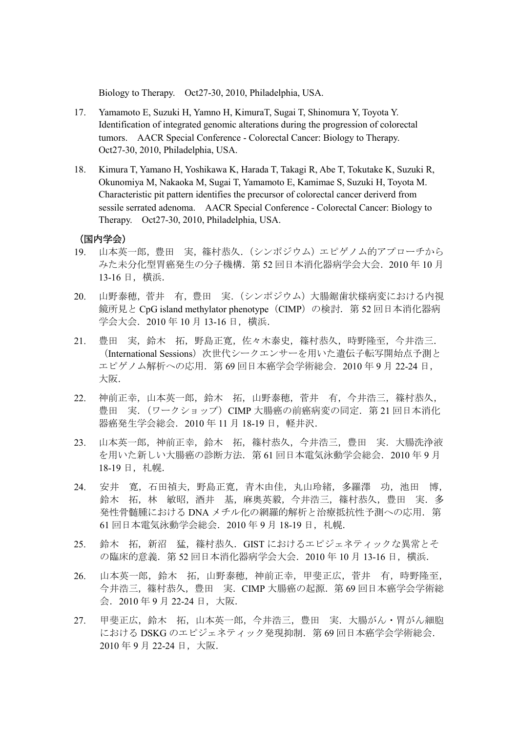Biology to Therapy. Oct27-30, 2010, Philadelphia, USA.

- 17. Yamamoto E, Suzuki H, Yamno H, KimuraT, Sugai T, Shinomura Y, Toyota Y. Identification of integrated genomic alterations during the progression of colorectal tumors. AACR Special Conference - Colorectal Cancer: Biology to Therapy. Oct27-30, 2010, Philadelphia, USA.
- 18. Kimura T, Yamano H, Yoshikawa K, Harada T, Takagi R, Abe T, Tokutake K, Suzuki R, Okunomiya M, Nakaoka M, Sugai T, Yamamoto E, Kamimae S, Suzuki H, Toyota M. Characteristic pit pattern identifies the precursor of colorectal cancer deriverd from sessile serrated adenoma. AACR Special Conference - Colorectal Cancer: Biology to Therapy. Oct27-30, 2010, Philadelphia, USA.

### (国内学会)

- 19. 山本英一郎, 豊田 実, 篠村恭久. (シンポジウム) エピゲノム的アプローチから みた未分化型胃癌発生の分子機構. 第 52 回日本消化器病学会大会. 2010 年 10 月 13-16 日,横浜.
- 20. 山野泰穂,菅井 有,豊田 実.(シンポジウム)大腸鋸歯状様病変における内視 鏡所見と CpG island methylator phenotype (CIMP) の検討. 第 52 回日本消化器病 学会大会.2010 年 10 月 13-16 日,横浜.
- 21. 豊田 実,鈴木 拓,野島正寛,佐々木泰史,篠村恭久,時野隆至,今井浩三. (International Sessions)次世代シークエンサーを用いた遺伝子転写開始点予測と エピゲノム解析への応用.第 69 回日本癌学会学術総会.2010 年 9 月 22-24 日, 大阪.
- 22. 神前正幸,山本英一郎,鈴木 拓,山野泰穂,菅井 有,今井浩三,篠村恭久, 豊田 実. (ワークショップ) CIMP 大腸癌の前癌病変の同定. 第 21 回日本消化. 器癌発生学会総会.2010 年 11 月 18-19 日,軽井沢.
- 23. 山本英一郎,神前正幸,鈴木 拓,篠村恭久,今井浩三,豊田 実.大腸洗浄液 を用いた新しい大腸癌の診断方法.第 61 回日本電気泳動学会総会.2010 年 9 月 18-19 日,札幌.
- 24. 安井 寛,石田禎夫,野島正寛,青木由佳,丸山玲緒,多羅澤 功,池田 博, 鈴木 拓,林 敏昭,酒井 基,麻奥英毅,今井浩三,篠村恭久,豊田 実.多 発性骨髄腫における DNA メチル化の網羅的解析と治療抵抗性予測への応用. 第 61 回日本電気泳動学会総会.2010 年 9 月 18-19 日,札幌.
- 25. 鈴木 拓, 新沼 猛, 篠村恭久. GIST におけるエピジェネティックな異常とそ の臨床的意義.第 52 回日本消化器病学会大会.2010 年 10 月 13-16 日,横浜.
- 26. 山本英一郎,鈴木 拓,山野泰穂,神前正幸,甲斐正広,菅井 有,時野隆至, 今井浩三,篠村恭久,豊田 実.CIMP 大腸癌の起源.第 69 回日本癌学会学術総 会.2010 年 9 月 22-24 日,大阪.
- 27. 甲斐正広,鈴木 拓,山本英一郎,今井浩三,豊田 実. 大腸がん・胃がん細胞 における DSKG のエピジェネティック発現抑制. 第69回日本癌学会学術総会. 2010 年 9 月 22-24 日,大阪.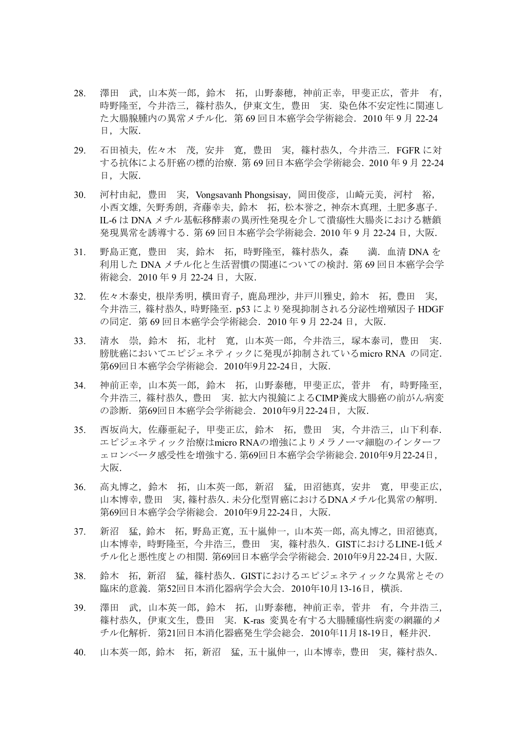- 28. 澤田 武,山本英一郎,鈴木 拓,山野泰穂,神前正幸,甲斐正広,菅井 有, 時野隆至,今井浩三,篠村恭久,伊東文生,豊田 実. 染色体不安定性に関連し た大腸腺腫内の異常メチル化.第 69 回日本癌学会学術総会.2010 年 9 月 22-24 日,大阪.
- 29. 石田禎夫,佐々木 茂,安井 寛,豊田 実,篠村恭久,今井浩三.FGFR に対 する抗体による肝癌の標的治療.第 69 回日本癌学会学術総会.2010 年 9 月 22-24 日,大阪.
- 30. 河村由紀, 豊田 実, Vongsavanh Phongsisay, 岡田俊彦, 山崎元美, 河村 裕, 小西文雄,矢野秀朗,吝藤幸夫,鈴木 拓,松本誉之,神奈木真理,土肥多惠子, IL-6 は DNA メチル基転移酵素の異所性発現を介して潰瘍性大腸炎における糖鎖 発現異常を誘導する.第 69 回日本癌学会学術総会.2010 年 9 月 22-24 日,大阪.
- 31. 野島正寛,豊田 実,鈴木 拓,時野隆至,篠村恭久,森 満.血清 DNA を 利用した DNA メチル化と生活習慣の関連についての検討. 第69回日本癌学会学 術総会. 2010年9月 22-24 日, 大阪.
- 32. 佐々木泰史,根岸秀明,横田育子,鹿島理沙,井戸川雅史,鈴木 拓,豊田 実, 今井浩三,篠村恭久,時野隆至.p53 により発現抑制される分泌性増殖因子 HDGF の同定.第 69 回日本癌学会学術総会.2010 年 9 月 22-24 日,大阪.
- 33. 清水 崇,鈴木 拓,北村 寛,山本英一郎,今井浩三,塚本泰司,豊田 実. 膀胱癌においてエピジェネティックに発現が抑制されているmicro RNA の同定. 第69回日本癌学会学術総会.2010年9月22-24日,大阪.
- 34. 神前正幸,山本英一郎,鈴木 拓,山野泰穂,甲斐正広,菅井 有,時野隆至, 今井浩三,篠村恭久,豊田 実.拡大内視鏡によるCIMP養成大腸癌の前がん病変 の診断.第69回日本癌学会学術総会.2010年9月22-24日,大阪.
- 35. 西坂尚大,佐藤亜紀子,甲斐正広,鈴木 拓,豊田 実,今井浩三,山下利春. エピジェネティック治療はmicro RNAの増強によりメラノーマ細胞のインターフ ェロンベータ感受性を増強する.第69回日本癌学会学術総会.2010年9月22-24日, 大阪.
- 36. 高丸博之,鈴木 拓,山本英一郎,新沼 猛,田沼徳真,安井 寛,甲斐正広, 山本博幸,豊田 実,篠村恭久.未分化型胃癌におけるDNAメチル化異常の解明. 第69回日本癌学会学術総会.2010年9月22-24日,大阪.
- 37. 新沼 猛,鈴木 拓,野島正寛,五十嵐伸一,山本英一郎,高丸博之,田沼徳真, 山本博幸,時野隆至,今井浩三,豊田 実,篠村恭久.GISTにおけるLINE-1低メ チル化と悪性度との相関.第69回日本癌学会学術総会.2010年9月22-24日,大阪.
- 38. 鈴木 拓, 新沼 猛, 篠村恭久. GISTにおけるエピジェネティックな異常とその 臨床的意義.第52回日本消化器病学会大会.2010年10月13-16日,横浜.
- 39. 澤田 武,山本英一郎,鈴木 拓,山野泰穂,神前正幸,菅井 有,今井浩三, 篠村恭久,伊東文生,豊田 実.K-ras 変異を有する大腸腫瘍性病変の網羅的メ チル化解析.第21回日本消化器癌発生学会総会.2010年11月18-19日,軽井沢.
- 40. 山本英一郎,鈴木 拓,新沼 猛,五十嵐伸一,山本博幸,豊田 実,篠村恭久.